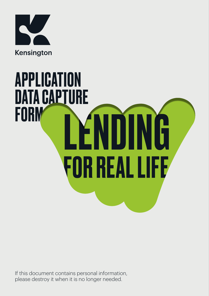

# **ENDING** FOR REAL LIFE APPLICATION DATA CAPTURE **FORM**

If this document contains personal information, please destroy it when it is no longer needed.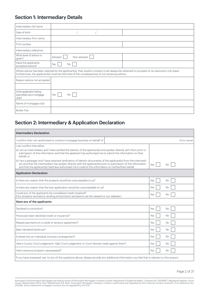# Section 1: Intermediary Details

| Intermediary full name                                        |                                                                                                                                                                                                                                          |  |
|---------------------------------------------------------------|------------------------------------------------------------------------------------------------------------------------------------------------------------------------------------------------------------------------------------------|--|
| Date of birth                                                 |                                                                                                                                                                                                                                          |  |
| Intermediary firm name                                        |                                                                                                                                                                                                                                          |  |
| FCA number                                                    |                                                                                                                                                                                                                                          |  |
| Intermediary reference                                        |                                                                                                                                                                                                                                          |  |
| What level of advice is<br>given?                             | Non advised<br>Advised                                                                                                                                                                                                                   |  |
| Have the applicants<br>accepted advice?                       | Yes<br>No                                                                                                                                                                                                                                |  |
|                                                               | Where advice has been rejected by the applicant(s), their explicit consent must always be obtained to proceed on an execution only basis.<br>Furthermore, the applicant(s) must be informed of the consequences of not receiving advice. |  |
| Reason advice not accepted                                    |                                                                                                                                                                                                                                          |  |
|                                                               |                                                                                                                                                                                                                                          |  |
| Is the application being<br>submitted via a mortgage<br>club? | Yes<br>No.                                                                                                                                                                                                                               |  |
| Name of mortgage club                                         |                                                                                                                                                                                                                                          |  |
| <b>Broker Fee</b>                                             |                                                                                                                                                                                                                                          |  |

# Section 2: Intermediary & Application Declaration

| <b>Intermediary Declaration</b>                                                                                                                                                                                                                                                                                                              |     |           |             |
|----------------------------------------------------------------------------------------------------------------------------------------------------------------------------------------------------------------------------------------------------------------------------------------------------------------------------------------------|-----|-----------|-------------|
| I confirm that I am authorised to conduct mortgage business on behalf of                                                                                                                                                                                                                                                                     |     |           | (Firm name) |
| I can confirm that either:                                                                                                                                                                                                                                                                                                                   |     |           |             |
| a) I am an intermediary and I have verified the identity of the applicant(s) and spoken directly with them prior to<br>submission of this information and that the applicant has authorised me to submit the information on their<br>behalf: or                                                                                              |     |           |             |
| b) I am a packager and I have received verification of identity documents of the applicant(s) from the intermedi-<br>ary and that the intermediary has spoken directly with the applicant(s) prior to submission of this information<br>and that the applicant(s) has/have authorised me to submit this information on his/her/their behalf. | Yes | No.       |             |
| <b>Application Declaration</b>                                                                                                                                                                                                                                                                                                               |     |           |             |
| Is there any reason that the property would be unacceptable to us?                                                                                                                                                                                                                                                                           | Yes | No        |             |
| Is there any reason that the loan application would be unacceptable to us?                                                                                                                                                                                                                                                                   | Yes | No        |             |
| Could any of the applicants be considered credit impaired?<br>(Our property exclusions, lending and product exclusions can be viewed on our website.)                                                                                                                                                                                        | Yes | <b>No</b> |             |
| Have any of the applicants:                                                                                                                                                                                                                                                                                                                  |     |           |             |
| Declared a conviction?                                                                                                                                                                                                                                                                                                                       | Yes | No        |             |
| Previously been declined credit or insurance?                                                                                                                                                                                                                                                                                                | Yes | No        |             |
| Missed payments on a credit or tenancy agreement?                                                                                                                                                                                                                                                                                            | Yes | No.       |             |
| Been declared bankrupt?                                                                                                                                                                                                                                                                                                                      | Yes | No        |             |
| Entered into an individual voluntary arrangement?                                                                                                                                                                                                                                                                                            | Yes | No        |             |
| Had a County Court judgement, High Court judgement or Court Decree made against them?                                                                                                                                                                                                                                                        | Yes | <b>No</b> |             |
| Had a previous property repossessed?                                                                                                                                                                                                                                                                                                         | Yes | <b>No</b> |             |
| If you have answered 'yes' to any of the questions above, please provide any additional information you feel that is relevant to this enquiry.                                                                                                                                                                                               |     |           |             |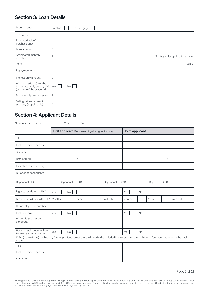## Section 3: Loan Details

| Loan purpose                                                                                | Purchase<br>Remortgage                  |
|---------------------------------------------------------------------------------------------|-----------------------------------------|
| Type of loan                                                                                |                                         |
| Estimated value/<br>Purchase price                                                          | £                                       |
| Loan amount                                                                                 | £                                       |
| Anticipated monthly<br>rental income                                                        | £<br>(For buy to let applications only) |
| Term                                                                                        | years                                   |
| Repayment type                                                                              |                                         |
| Interest only amount                                                                        | £                                       |
| Will the applicant(s) or their<br>immediate family occupy 40%<br>(or more) of the property? | Yes<br><b>No</b>                        |
| Discounted purchase price                                                                   | £                                       |
| Selling price of current<br>property (if applicable)                                        | £                                       |

# Section 4: Applicant Details

Number of applicants One Two

|                                                                                                                                                                                 | First applicant (Person earning the higher income) |       |                    | Joint applicant    |           |       |  |            |  |
|---------------------------------------------------------------------------------------------------------------------------------------------------------------------------------|----------------------------------------------------|-------|--------------------|--------------------|-----------|-------|--|------------|--|
| Title                                                                                                                                                                           |                                                    |       |                    |                    |           |       |  |            |  |
| First and middle names                                                                                                                                                          |                                                    |       |                    |                    |           |       |  |            |  |
| Surname                                                                                                                                                                         |                                                    |       |                    |                    |           |       |  |            |  |
| Date of birth                                                                                                                                                                   |                                                    |       |                    |                    |           |       |  |            |  |
| Expected retirement age                                                                                                                                                         |                                                    |       |                    |                    |           |       |  |            |  |
| Number of dependants                                                                                                                                                            |                                                    |       |                    |                    |           |       |  |            |  |
| Dependant 1 D.O.B:                                                                                                                                                              | Dependant 2 D.O.B:                                 |       | Dependant 3 D.O.B: | Dependant 4 D.O.B: |           |       |  |            |  |
| Right to reside in the UK?                                                                                                                                                      | Yes<br><b>No</b>                                   |       |                    | Yes                | No        |       |  |            |  |
| Length of residency in the UK?                                                                                                                                                  | Months                                             | Years | From birth         | Months             |           | Years |  | From birth |  |
| Home telephone number                                                                                                                                                           |                                                    |       |                    |                    |           |       |  |            |  |
| First time buyer                                                                                                                                                                | Yes<br>No                                          |       |                    | Yes<br>No          |           |       |  |            |  |
| When did you last own<br>a property?                                                                                                                                            |                                                    |       |                    |                    |           |       |  |            |  |
| Has the applicant ever been<br>known by another name                                                                                                                            | Yes<br><b>No</b>                                   |       |                    | Yes                | <b>No</b> |       |  |            |  |
| If Yes: (If the client(s) has had any further previous names these will need to be included in the details on the additional information attached to the back of<br>this form.) |                                                    |       |                    |                    |           |       |  |            |  |
| Title                                                                                                                                                                           |                                                    |       |                    |                    |           |       |  |            |  |
| First and middle names                                                                                                                                                          |                                                    |       |                    |                    |           |       |  |            |  |
| Surname                                                                                                                                                                         |                                                    |       |                    |                    |           |       |  |            |  |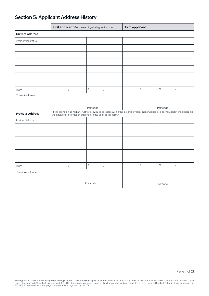# Section 5: Applicant Address History

|                         | First applicant (Person earning the higher income)             |                                            | Joint applicant      |                                                                                                                                        |  |  |
|-------------------------|----------------------------------------------------------------|--------------------------------------------|----------------------|----------------------------------------------------------------------------------------------------------------------------------------|--|--|
| <b>Current Address</b>  |                                                                |                                            |                      |                                                                                                                                        |  |  |
| Residential status      |                                                                |                                            |                      |                                                                                                                                        |  |  |
|                         |                                                                |                                            |                      |                                                                                                                                        |  |  |
|                         |                                                                |                                            |                      |                                                                                                                                        |  |  |
|                         |                                                                |                                            |                      |                                                                                                                                        |  |  |
|                         |                                                                |                                            |                      |                                                                                                                                        |  |  |
|                         |                                                                |                                            |                      |                                                                                                                                        |  |  |
|                         |                                                                |                                            |                      |                                                                                                                                        |  |  |
| From                    | $\sqrt{2}$                                                     | To<br>$\sqrt{2}$                           | $\sqrt{2}$           | $\sqrt{2}$<br>To                                                                                                                       |  |  |
| Current address         |                                                                |                                            |                      |                                                                                                                                        |  |  |
|                         |                                                                |                                            |                      |                                                                                                                                        |  |  |
|                         |                                                                | Postcode                                   |                      | Postcode                                                                                                                               |  |  |
| <b>Previous Address</b> | the additional information attached to the back of this form.) |                                            |                      | (If the client(s) has had any further previous addresses within the last three years, these will need to be included in the details on |  |  |
| Residential status      |                                                                |                                            |                      |                                                                                                                                        |  |  |
|                         |                                                                |                                            |                      |                                                                                                                                        |  |  |
|                         |                                                                |                                            |                      |                                                                                                                                        |  |  |
|                         |                                                                |                                            |                      |                                                                                                                                        |  |  |
|                         |                                                                |                                            |                      |                                                                                                                                        |  |  |
|                         |                                                                |                                            |                      |                                                                                                                                        |  |  |
|                         |                                                                |                                            |                      |                                                                                                                                        |  |  |
| From                    | $\sqrt{2}$                                                     | $\operatorname{\mathsf{To}}$<br>$\sqrt{2}$ | $\sqrt{\phantom{a}}$ | $\sqrt{2}$<br>$\mathsf{T}\circ$                                                                                                        |  |  |
| Previous address        |                                                                |                                            |                      |                                                                                                                                        |  |  |
|                         |                                                                | Postcode                                   |                      | Postcode                                                                                                                               |  |  |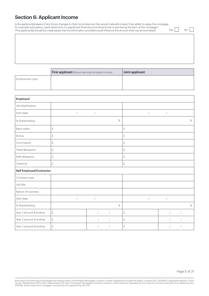## Section 6: Applicant Income

Is the applicant(s) aware of any future changes to their circumstances that would materially impact their ability to repay the mortgage, for example redundancy, early retirement or a significant financial commitment that is due during the term of the mortgage? (The applicant(s) should be made aware that the information provided could influence the amount that may be borrowed)

 $Yes \nightharpoonup No \nightharpoonup$ 

|                 | First applicant (Person earning the higher income) | Joint applicant |
|-----------------|----------------------------------------------------|-----------------|
| Employment type |                                                    |                 |
|                 |                                                    |                 |

| Employed                 |                    |            |                      |            |      |              |            |            |  |      |
|--------------------------|--------------------|------------|----------------------|------------|------|--------------|------------|------------|--|------|
| Job title/Position       |                    |            |                      |            |      |              |            |            |  |      |
| Start date               |                    | $\sqrt{2}$ | $\sqrt{\phantom{a}}$ |            |      |              | $\sqrt{ }$ | $\sqrt{2}$ |  |      |
| % Shareholding           |                    |            |                      |            | $\%$ |              |            |            |  | $\%$ |
| Basic salary             | $\mathbf{f}% _{0}$ |            |                      |            |      | £            |            |            |  |      |
| <b>Bonus</b>             | $\mathbf{f}% _{0}$ |            |                      |            |      | £            |            |            |  |      |
| Commission               | £                  |            |                      |            |      | £            |            |            |  |      |
| Travel allowance         | $\pounds$          |            |                      |            |      | £            |            |            |  |      |
| Shift allowance          | $\mathbf{f}% _{0}$ |            |                      |            |      | $\mathbf{f}$ |            |            |  |      |
| Overtime                 | $\mathbf{f}% _{0}$ |            |                      |            |      | $\mathbf{f}$ |            |            |  |      |
| Self Employed/Contractor |                    |            |                      |            |      |              |            |            |  |      |
| Company type             |                    |            |                      |            |      |              |            |            |  |      |
| Job title                |                    |            |                      |            |      |              |            |            |  |      |
| Nature of business       |                    |            |                      |            |      |              |            |            |  |      |
| Start date               |                    |            |                      |            |      |              |            |            |  |      |
| % Shareholding           |                    |            |                      |            | $\%$ |              |            |            |  | $\%$ |
| Year 1 amount & ending   | $\mathbf{f}% _{0}$ |            | $\sqrt{ }$           | $\sqrt{2}$ |      | £            |            |            |  |      |
| Year 2 amount & ending   | $\mathbf{f}% _{0}$ |            |                      |            |      | $\pounds$    |            |            |  |      |
| Year 3 amount & ending   | $\mathbf{f}% _{0}$ |            |                      |            |      | £            |            |            |  |      |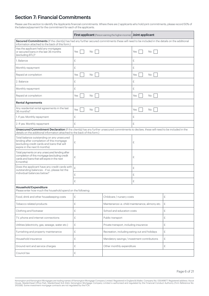## Section 7: Financial Commitments

Please use this section to identify the Applicants financial commitments. Where there are 2 applicants who hold joint commitments, please record 50% of the balance/payment for the commitment for each of the applicants.

|                                                                                                                                                                                                                         |           | <b>First applicant</b> (Person earning the higher income)   Joint applicant |            |   |  |
|-------------------------------------------------------------------------------------------------------------------------------------------------------------------------------------------------------------------------|-----------|-----------------------------------------------------------------------------|------------|---|--|
| Secured Commitments (If the client(s) has had any further secured commitments these will need to be included in the details on the additional<br>information attached to the back of this form.)                        |           |                                                                             |            |   |  |
| Has the applicant held any mortgages<br>or secured loans in the last 36 months<br>(excluding BTL)?                                                                                                                      | Yes<br>No |                                                                             | Yes<br>No  |   |  |
| 1. Balance                                                                                                                                                                                                              | £         |                                                                             | £          |   |  |
| Monthly repayment                                                                                                                                                                                                       | £         |                                                                             | £          |   |  |
| Repaid at completion                                                                                                                                                                                                    | Yes<br>No |                                                                             | Yes<br>No. |   |  |
| 2. Balance                                                                                                                                                                                                              | £         |                                                                             | £          |   |  |
| Monthly repayment                                                                                                                                                                                                       | £         |                                                                             | £          |   |  |
| Repaid at completion                                                                                                                                                                                                    | Yes<br>No |                                                                             | Yes<br>No  |   |  |
| <b>Rental Agreements</b>                                                                                                                                                                                                |           |                                                                             |            |   |  |
| Any residential rental agreements in the last<br>36 months?                                                                                                                                                             | Yes<br>No |                                                                             | Yes<br>No. |   |  |
| 1. If yes: Monthly repayment                                                                                                                                                                                            | £         |                                                                             | £          |   |  |
| 2. If yes: Monthly repayment                                                                                                                                                                                            | £         |                                                                             | £          |   |  |
| Unsecured Commitment Declaration (If the client(s) has any further unsecured commitments to declare, these will need to be included in the<br>details on the additional information attached to the back of this form.) |           |                                                                             |            |   |  |
| Total balance outstanding on any unsecured<br>lending after completion of this mortgage<br>(excluding credit cards and loans that will<br>expire in the next 6 months)                                                  | £         |                                                                             | £          |   |  |
| Total payments on any unsecured lending after<br>completion of this mortgage (excluding credit<br>cards and loans that will expire in the next<br>6 months)                                                             | £         |                                                                             | £          |   |  |
| Does the applicant have any credit cards with<br>outstanding balances - if so, please list the                                                                                                                          | £         |                                                                             | £          |   |  |
| individual balances below?                                                                                                                                                                                              | £         |                                                                             | £          |   |  |
|                                                                                                                                                                                                                         | £         |                                                                             | £          |   |  |
| <b>Household Expenditure</b><br>Please enter how much the household spend on the following:                                                                                                                             |           |                                                                             |            |   |  |
| Food, drink and other housekeeping costs                                                                                                                                                                                | £         | Childcare / nursery costs                                                   |            | £ |  |
| Tobacco related products                                                                                                                                                                                                | £         | Maintenance i.e. child maintenance, alimony etc.                            |            | £ |  |
| Clothing and footwear                                                                                                                                                                                                   | £         | School and education costs                                                  |            | £ |  |
| TV, phone and internet connections                                                                                                                                                                                      | £         | Public transport                                                            |            | £ |  |
| Utilities (electricity, gas, sewage, water etc.)                                                                                                                                                                        | £         | Private transport, including insurance                                      |            | £ |  |
| Furnishing and property maintenance                                                                                                                                                                                     | £         | Recreation, including eating out and holidays                               |            | £ |  |
| Household insurance                                                                                                                                                                                                     | £         | Mandatory savings / investment contributions                                |            | £ |  |
| Ground rent and service charges                                                                                                                                                                                         | £         | Other monthly expenditure                                                   |            | £ |  |
| Council tax                                                                                                                                                                                                             | £         |                                                                             |            |   |  |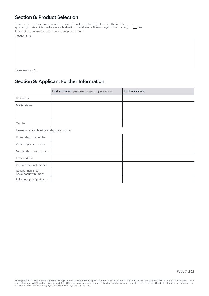## Section 8: Product Selection

Please confirm that you have received permission from the applicant(s) (either directly from the applicant(s) or via an intermediary as applicable) to undertake a credit search against their name(s). Yes

Please refer to our website to see our current product range

Product name

Please see your KFI

# Section 9: Applicant Further Information

|                                               | First applicant (Person earning the higher income) | Joint applicant |  |  |
|-----------------------------------------------|----------------------------------------------------|-----------------|--|--|
| Nationality                                   |                                                    |                 |  |  |
| Marital status                                |                                                    |                 |  |  |
|                                               |                                                    |                 |  |  |
|                                               |                                                    |                 |  |  |
| Gender                                        |                                                    |                 |  |  |
| Please provide at least one telephone number  |                                                    |                 |  |  |
| Home telephone number                         |                                                    |                 |  |  |
| Work telephone number                         |                                                    |                 |  |  |
| Mobile telephone number                       |                                                    |                 |  |  |
| Email address                                 |                                                    |                 |  |  |
| Preferred contact method                      |                                                    |                 |  |  |
| National insurance/<br>Social security number |                                                    |                 |  |  |
| Relationship to Applicant 1                   |                                                    |                 |  |  |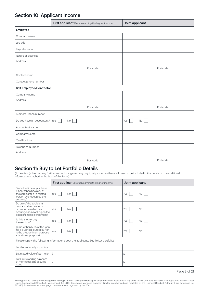# Section 10: Applicant Income

|                              | First applicant (Person earning the higher income) | Joint applicant |
|------------------------------|----------------------------------------------------|-----------------|
| Employed                     |                                                    |                 |
| Company name                 |                                                    |                 |
| Job title                    |                                                    |                 |
| Payroll number               |                                                    |                 |
| Nature of business           |                                                    |                 |
| Address                      |                                                    |                 |
|                              | Postcode                                           | Postcode        |
| Contact name                 |                                                    |                 |
| Contact phone number         |                                                    |                 |
| Self Employed/Contractor     |                                                    |                 |
| Company name                 |                                                    |                 |
| Address                      |                                                    |                 |
|                              | Postcode                                           | Postcode        |
| <b>Business Phone number</b> |                                                    |                 |
| Do you have an accountant?   | Yes<br>$\rm No$                                    | Yes<br>$\rm No$ |
| Accountant Name              |                                                    |                 |
| Company Name                 |                                                    |                 |
| Qualifications               |                                                    |                 |
| Telephone Number             |                                                    |                 |
| Address                      |                                                    |                 |
|                              | Postcode                                           | Postcode        |

## Section 11: Buy to Let Portfolio Details

(If the client(s) has had any further second charges on any buy to let properties these will need to be included in the details on the additional information attached to the back of this form.)

|                                                                                                                                                | <b>First applicant</b> (Person earning the higher income)                          | Joint applicant  |
|------------------------------------------------------------------------------------------------------------------------------------------------|------------------------------------------------------------------------------------|------------------|
| Since the time of purchase<br>/ inheritance have any of<br>the applicants or a related<br>person ever occupied the<br>property?                | Yes<br>No.                                                                         | No.<br>Yes       |
| Do any of the applicants<br>own any other property<br>or properties which are<br>occupied as a dwelling on the<br>basis of a rental agreement? | Yes<br>No.                                                                         | No.<br>Yes       |
| Is this a let-to-buy<br>transaction?                                                                                                           | Yes<br>No                                                                          | <b>No</b><br>Yes |
| Is more than 50% of the loan<br>for a business purpose? / or<br>is the predominant purpose<br>a business purpose?                              | Yes $\vert$<br>No.                                                                 | No.<br>Yes       |
|                                                                                                                                                | Please supply the following information about the applicants Buy To Let portfolio: |                  |
| Total number of properties                                                                                                                     |                                                                                    |                  |
| Estimated value of portfolio                                                                                                                   | £                                                                                  | £                |
| <b>Total Outstanding balances</b><br>of mortgages and secured<br>loans                                                                         | £                                                                                  | £                |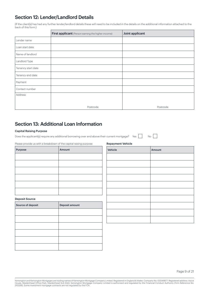## Section 12: Lender/Landlord Details

(If the client(s) has had any further lender/landlord details these will need to be included in the details on the additional information attached to the back of this form.)

|                    | First applicant (Person earning the higher income) | Joint applicant |
|--------------------|----------------------------------------------------|-----------------|
| Lender name        |                                                    |                 |
| Loan start date    |                                                    |                 |
| Name of landlord   |                                                    |                 |
| Landlord Type      |                                                    |                 |
| Tenancy start date |                                                    |                 |
| Tenancy end date   |                                                    |                 |
| Payment            |                                                    |                 |
| Contact number     |                                                    |                 |
| Address            |                                                    |                 |
|                    |                                                    |                 |
|                    | Postcode                                           | Postcode        |

## Section 13: Additional Loan Information

#### Capital Raising Purpose

Does the applicant(s) require any additional borrowing over and above their current mortgage? Yes  $\Box$  No  $\Box$ 

Please provide us with a breakdown of the capital raising purpose

| Purpose | Amount |
|---------|--------|
|         |        |
|         |        |
|         |        |
|         |        |
|         |        |
|         |        |

#### Deposit Source

| Source of deposit | Deposit amount |
|-------------------|----------------|
|                   |                |
|                   |                |
|                   |                |
|                   |                |
|                   |                |
|                   |                |

| Vehicle | Amount |
|---------|--------|
|         |        |
|         |        |
|         |        |
|         |        |
|         |        |
|         |        |
|         |        |
|         |        |
|         |        |
|         |        |

## Repayment Vehicle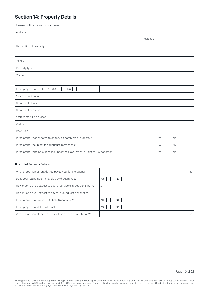# Section 14: Property Details

| Please confirm the security address:                  |                                                                             |           |
|-------------------------------------------------------|-----------------------------------------------------------------------------|-----------|
| Address                                               |                                                                             |           |
|                                                       | Postcode                                                                    |           |
| Description of property                               |                                                                             |           |
|                                                       |                                                                             |           |
| Tenure                                                |                                                                             |           |
| Property type                                         |                                                                             |           |
| Vendor type                                           |                                                                             |           |
|                                                       |                                                                             |           |
| Is the property a new build?                          | Yes<br>No                                                                   |           |
| Year of construction                                  |                                                                             |           |
| Number of storeys                                     |                                                                             |           |
| Number of bedrooms                                    |                                                                             |           |
| Years remaining on lease                              |                                                                             |           |
| Wall type                                             |                                                                             |           |
| Roof Type                                             |                                                                             |           |
|                                                       | Is the property connected to or above a commercial property?                | Yes<br>No |
| Is the property subject to agricultural restrictions? |                                                                             | Yes<br>No |
|                                                       | Is the property being purchased under the Government's Right to Buy scheme? | Yes<br>No |

## Buy to Let Property Details

| What proportion of rent do you pay to your letting agent?     | %          |
|---------------------------------------------------------------|------------|
| Does your letting agent provide a void guarantee?             | Yes<br>No  |
| How much do you expect to pay for service charges per annum?  | 七          |
| How much do you expect to pay for ground rent per annum?      |            |
| Is the property a House in Multiple Occupation?               | Yes<br>No  |
| Is the property a Multi-Unit Block?                           | Yes<br>No. |
| What proportion of the property will be owned by applicant 1? | %          |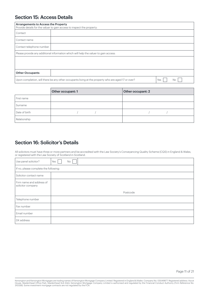## Section 15: Access Details

| Arrangements to Access the Property | Provide details for the valuer to gain access to inspect the property:                             |     |     |
|-------------------------------------|----------------------------------------------------------------------------------------------------|-----|-----|
| Contact                             |                                                                                                    |     |     |
| Contact name                        |                                                                                                    |     |     |
| Contact telephone number            |                                                                                                    |     |     |
|                                     | Please provide any additional information which will help the valuer to gain access:               |     |     |
|                                     |                                                                                                    |     |     |
|                                     |                                                                                                    |     |     |
| <b>Other Occupants</b>              |                                                                                                    |     |     |
|                                     | Upon completion, will there be any other occupants living at the property who are aged 17 or over? | Yes | No. |

|               | Other occupant: 1 | Other occupant: 2 |
|---------------|-------------------|-------------------|
| First name    |                   |                   |
| Surname       |                   |                   |
| Date of birth |                   |                   |
| Relationship  |                   |                   |

## Section 16: Solicitor's Details

All solicitors must have three or more partners and be accredited with the Law Society's Conveyancing Quality Scheme (CQS) in England & Wales, or registered with the Law Society of Scotland in Scotland.

| Use panel solicitor?                          | Yes<br>No |
|-----------------------------------------------|-----------|
| If no, please complete the following:         |           |
| Solicitor contact name                        |           |
| Firm name and address of<br>solicitor company |           |
|                                               | Postcode  |
| Telephone number                              |           |
| Fax number                                    |           |
| Email number                                  |           |
| DX address                                    |           |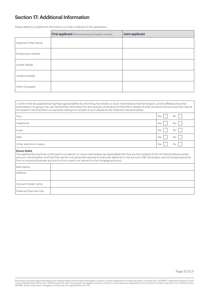## Section 17: Additional Information

Please detail any additional information you feel is relevant to the application

|                           | First applicant (Person earning the higher income) | Joint applicant |
|---------------------------|----------------------------------------------------|-----------------|
| Applicant Other Name      |                                                    |                 |
| <b>Employment Details</b> |                                                    |                 |
| Lender Details            |                                                    |                 |
| Landlord Details          |                                                    |                 |
| Other Occupant            |                                                    |                 |

|                              | I confirm that the applicant(s) has/have agreed (either by informing me directly or via an intermediary) that Kensington, and its affiliates and other<br>businesses in its group may use his/her/their information for the purpose of sending him/her/them details of other products and services that may be<br>of interest to him/her/them by expressly opting in to receipt of such details by the methods indicated below: |     |    |
|------------------------------|---------------------------------------------------------------------------------------------------------------------------------------------------------------------------------------------------------------------------------------------------------------------------------------------------------------------------------------------------------------------------------------------------------------------------------|-----|----|
| Post                         |                                                                                                                                                                                                                                                                                                                                                                                                                                 | Yes | No |
| Telephone                    |                                                                                                                                                                                                                                                                                                                                                                                                                                 | Yes | No |
| Email                        |                                                                                                                                                                                                                                                                                                                                                                                                                                 | Yes | No |
| SMS                          |                                                                                                                                                                                                                                                                                                                                                                                                                                 | Yes | No |
| Other electronic means       |                                                                                                                                                                                                                                                                                                                                                                                                                                 | Yes | No |
| Direct Debit                 | The applicant(s) has/have confirmed to me directly or via an intermediary (as applicable) that they are the holder(s) of the UK bank/building society<br>account named below, and that they are the only person(s) required to authorise debits from this account. (NB: Kensington cannot accept payments<br>from a company/business account or from a party not named on the mortgage account).                                |     |    |
| <b>Bank Name</b>             |                                                                                                                                                                                                                                                                                                                                                                                                                                 |     |    |
| Address                      |                                                                                                                                                                                                                                                                                                                                                                                                                                 |     |    |
| Account holder name          |                                                                                                                                                                                                                                                                                                                                                                                                                                 |     |    |
| <b>Preferred Payment Day</b> |                                                                                                                                                                                                                                                                                                                                                                                                                                 |     |    |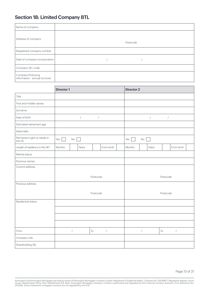# Section 18: Limited Company BTL

| Name of company                                    |          |
|----------------------------------------------------|----------|
| Address of company                                 | Postcode |
| Registered company number                          |          |
| Date of company incorporation                      |          |
| Company SIC code                                   |          |
| Company financing<br>information - annual turnover |          |

|                                        | Director 1 |                |                      |                      |                      | Director 2 |          |                      |                   |                      |  |
|----------------------------------------|------------|----------------|----------------------|----------------------|----------------------|------------|----------|----------------------|-------------------|----------------------|--|
| Title                                  |            |                |                      |                      |                      |            |          |                      |                   |                      |  |
| First and middle names                 |            |                |                      |                      |                      |            |          |                      |                   |                      |  |
| Surname                                |            |                |                      |                      |                      |            |          |                      |                   |                      |  |
| Date of birth                          |            |                | $\sqrt{\phantom{a}}$ | $\sqrt{\phantom{a}}$ |                      |            |          | $\sqrt{\phantom{a}}$ | $\bigg)$          |                      |  |
| Estimated retirement age               |            |                |                      |                      |                      |            |          |                      |                   |                      |  |
| Nationality                            |            |                |                      |                      |                      |            |          |                      |                   |                      |  |
| Permanent right to reside in<br>the UK | Yes        | $\rm No$       |                      |                      |                      | Yes        | $\rm No$ |                      |                   |                      |  |
| Length of residency in the UK?         | Months     |                | Years                |                      | From birth           | Months     |          | Years                |                   | From birth           |  |
| Marital status                         |            |                |                      |                      |                      |            |          |                      |                   |                      |  |
| Previous names                         |            |                |                      |                      |                      |            |          |                      |                   |                      |  |
| Current address                        |            |                |                      |                      |                      |            |          |                      |                   |                      |  |
|                                        |            |                |                      | Postcode             |                      |            |          |                      | Postcode          |                      |  |
| Previous address                       |            |                |                      |                      |                      |            |          |                      |                   |                      |  |
|                                        |            |                |                      | Postcode             |                      |            |          |                      | Postcode          |                      |  |
| Residential status                     |            |                |                      |                      |                      |            |          |                      |                   |                      |  |
|                                        |            |                |                      |                      |                      |            |          |                      |                   |                      |  |
|                                        |            |                |                      |                      |                      |            |          |                      |                   |                      |  |
|                                        |            |                |                      |                      |                      |            |          |                      |                   |                      |  |
| From                                   |            | $\overline{1}$ | $\mathsf{T}\circ$    |                      | $\sqrt{\phantom{a}}$ |            | $\bigg)$ |                      | $\mathsf{T}\circ$ | $\sqrt{\phantom{a}}$ |  |
| Company role                           |            |                |                      |                      |                      |            |          |                      |                   |                      |  |
| Shareholding (%)                       |            |                |                      |                      |                      |            |          |                      |                   |                      |  |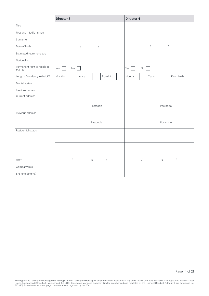|                                        | Director 3 |                      |                |                      | Director 4 |            |                      |                   |                      |  |
|----------------------------------------|------------|----------------------|----------------|----------------------|------------|------------|----------------------|-------------------|----------------------|--|
| Title                                  |            |                      |                |                      |            |            |                      |                   |                      |  |
| First and middle names                 |            |                      |                |                      |            |            |                      |                   |                      |  |
| Surname                                |            |                      |                |                      |            |            |                      |                   |                      |  |
| Date of birth                          |            | $\sqrt{\phantom{a}}$ | $\overline{1}$ |                      |            |            | $\sqrt{\phantom{a}}$ | $\overline{ }$    |                      |  |
| Estimated retirement age               |            |                      |                |                      |            |            |                      |                   |                      |  |
| Nationality                            |            |                      |                |                      |            |            |                      |                   |                      |  |
| Permanent right to reside in<br>the UK | Yes        | No                   |                |                      | Yes        | $\rm No$   |                      |                   |                      |  |
| Length of residency in the UK?         | Months     | Years                |                | From birth           | Months     |            | Years                |                   | From birth           |  |
| Marital status                         |            |                      |                |                      |            |            |                      |                   |                      |  |
| Previous names                         |            |                      |                |                      |            |            |                      |                   |                      |  |
| Current address                        |            |                      |                |                      |            |            |                      |                   |                      |  |
|                                        |            |                      | Postcode       |                      |            |            |                      | Postcode          |                      |  |
| Previous address                       |            |                      |                |                      |            |            |                      |                   |                      |  |
|                                        |            |                      | Postcode       |                      |            |            |                      | Postcode          |                      |  |
| Residential status                     |            |                      |                |                      |            |            |                      |                   |                      |  |
|                                        |            |                      |                |                      |            |            |                      |                   |                      |  |
|                                        |            |                      |                |                      |            |            |                      |                   |                      |  |
|                                        |            |                      |                |                      |            |            |                      |                   |                      |  |
| From                                   |            | $\sqrt{2}$           | To             | $\sqrt{\phantom{a}}$ |            | $\sqrt{2}$ |                      | $\mathsf{T}\circ$ | $\sqrt{\phantom{a}}$ |  |
| Company role                           |            |                      |                |                      |            |            |                      |                   |                      |  |
| Shareholding (%)                       |            |                      |                |                      |            |            |                      |                   |                      |  |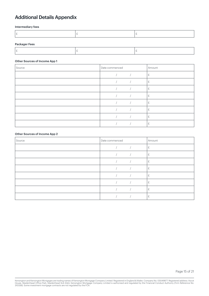# Additional Details Appendix

## Intermediary fees

|  | . . |  |  |
|--|-----|--|--|
|--|-----|--|--|

## Packager Fees

|--|

#### Other Sources of Income App 1

| Source | Date commenced | Amount |
|--------|----------------|--------|
|        |                | £.     |
|        |                | £      |
|        |                | £      |
|        |                | £      |
|        |                | £      |
|        |                | £      |
|        |                | £      |
|        |                |        |

#### Other Sources of Income App 2

| Source | Date commenced | Amount |
|--------|----------------|--------|
|        |                | £.     |
|        |                | £      |
|        |                | £      |
|        |                | £      |
|        |                | £      |
|        |                | £      |
|        |                | £      |
|        |                | £      |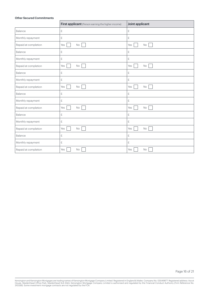#### Other Secured Commitments

|                      | First applicant (Person earning the higher income) | Joint applicant  |
|----------------------|----------------------------------------------------|------------------|
| Balance              | £                                                  | £                |
| Monthly repayment    | £                                                  | £                |
| Repaid at completion | Yes<br>No                                          | Yes<br>No        |
| Balance              | £                                                  | £                |
| Monthly repayment    | £                                                  | £                |
| Repaid at completion | Yes<br>No                                          | Yes<br>No        |
| Balance              | £                                                  | £                |
| Monthly repayment    | $\mathbf{f}% _{0}$                                 | £                |
| Repaid at completion | Yes<br>No                                          | Yes<br>No        |
| Balance              | $\pounds$                                          | £                |
| Monthly repayment    | $\pounds$                                          | £                |
| Repaid at completion | No<br>Yes                                          | Yes<br>No        |
| Balance              | £                                                  | £                |
| Monthly repayment    | £                                                  | £                |
| Repaid at completion | Yes<br>No                                          | Yes<br>No        |
| Balance              | £                                                  | £                |
| Monthly repayment    | £                                                  | £                |
| Repaid at completion | Yes<br>No                                          | Yes<br><b>No</b> |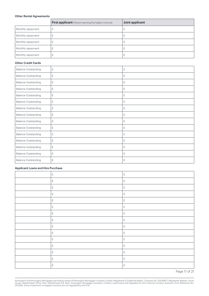## Other Rental Agreements

|                   | <b>First applicant</b> (Person earning the higher income) | Joint applicant |
|-------------------|-----------------------------------------------------------|-----------------|
| Monthly repayment |                                                           | ∼               |
| Monthly repayment |                                                           | ∼               |
| Monthly repayment |                                                           | ᅩ               |
| Monthly repayment |                                                           | ∼               |
| Monthly repayment |                                                           | 圡               |

#### Other Credit Cards

| <b>Balance Outstanding</b> | £           | £ |
|----------------------------|-------------|---|
| <b>Balance Outstanding</b> | £           | £ |
| <b>Balance Outstanding</b> | £           | £ |
| <b>Balance Outstanding</b> | £           | £ |
| <b>Balance Outstanding</b> | £           | £ |
| <b>Balance Outstanding</b> | £           | £ |
| <b>Balance Outstanding</b> | £           | £ |
| <b>Balance Outstanding</b> | £           | £ |
| <b>Balance Outstanding</b> | £           | £ |
| <b>Balance Outstanding</b> | £           | £ |
| <b>Balance Outstanding</b> | £           | £ |
| <b>Balance Outstanding</b> | $\mathbf f$ | £ |
| <b>Balance Outstanding</b> | £           | £ |
| <b>Balance Outstanding</b> | £           | £ |
| <b>Balance Outstanding</b> | £           | £ |

## Applicant Loans and Hire Purchase

| $\mathbf{E}% _{0}$   | $\mathbf{E}% _{0}$                  |
|----------------------|-------------------------------------|
| $\mathfrak{L}% _{F}$ | $\mathbf f$                         |
| $\mathbb E$          | $\mathbf f$                         |
| $\mathfrak{L}$       | $\mathbf f$                         |
| $\mathbf{f}% _{0}$   | $\mathbb E$                         |
| $\mathbf f$          | $\mathbf f$                         |
| $\mathbb E$          | $\mathbf f$                         |
| £                    | $\ensuremath{\mathop{\varepsilon}}$ |
| $\mathbb E$          | $\mathbf f$                         |
| $\mathbb E$          | $\mathbf f$                         |
| $\mathbb E$          | $\mathbf f$                         |
| £                    | $\mathbf f$                         |
| £                    | £                                   |
| £                    | $\mathbf f$                         |
| £                    | $\mathbf f$                         |

Page 17 of 21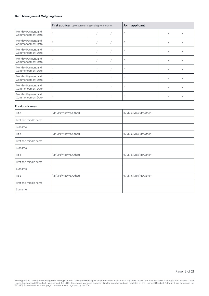## Debt Management Outgoing Items

|                                          | <b>First applicant</b> (Person earning the higher income) |  | Joint applicant |  |
|------------------------------------------|-----------------------------------------------------------|--|-----------------|--|
| Monthly Payment and<br>Commencement Date | £                                                         |  | £               |  |
| Monthly Payment and<br>Commencement Date | £                                                         |  | £               |  |
| Monthly Payment and<br>Commencement Date | £                                                         |  | £               |  |
| Monthly Payment and<br>Commencement Date | £                                                         |  | £               |  |
| Monthly Payment and<br>Commencement Date | £                                                         |  | £               |  |
| Monthly Payment and<br>Commencement Date | £                                                         |  | £               |  |
| Monthly Payment and<br>Commencement Date | £                                                         |  | £               |  |
| Monthly Payment and<br>Commencement Date | £                                                         |  | £               |  |

#### Previous Names

| Title                 | (Mr/Mrs/Miss/Ms/Other) | (Mr/Mrs/Miss/Ms/Other) |
|-----------------------|------------------------|------------------------|
| First and middle name |                        |                        |
| Surname               |                        |                        |
| Title                 | (Mr/Mrs/Miss/Ms/Other) | (Mr/Mrs/Miss/Ms/Other) |
| First and middle name |                        |                        |
| Surname               |                        |                        |
| Title                 | (Mr/Mrs/Miss/Ms/Other) | (Mr/Mrs/Miss/Ms/Other) |
| First and middle name |                        |                        |
| Surname               |                        |                        |
| Title                 | (Mr/Mrs/Miss/Ms/Other) | (Mr/Mrs/Miss/Ms/Other) |
| First and middle name |                        |                        |
| Surname               |                        |                        |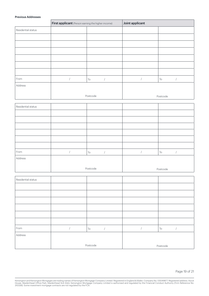#### Previous Addresses

Residential status

|                    | First applicant (Person earning the higher income) |                                            | Joint applicant      |                                                      |  |
|--------------------|----------------------------------------------------|--------------------------------------------|----------------------|------------------------------------------------------|--|
| Residential status |                                                    |                                            |                      |                                                      |  |
|                    |                                                    |                                            |                      |                                                      |  |
|                    |                                                    |                                            |                      |                                                      |  |
|                    |                                                    |                                            |                      |                                                      |  |
|                    |                                                    |                                            |                      |                                                      |  |
|                    |                                                    |                                            |                      |                                                      |  |
|                    |                                                    |                                            |                      |                                                      |  |
| From               | $\overline{1}$                                     | $\operatorname{\mathsf{To}}$<br>$\sqrt{ }$ | $\sqrt{\phantom{a}}$ | $\operatorname{\mathsf{To}}$<br>$\sqrt{\phantom{a}}$ |  |
| Address            |                                                    |                                            |                      |                                                      |  |
|                    |                                                    |                                            |                      |                                                      |  |
|                    |                                                    | Postcode                                   |                      | Postcode                                             |  |
| Residential status |                                                    |                                            |                      |                                                      |  |
|                    |                                                    |                                            |                      |                                                      |  |
|                    |                                                    |                                            |                      |                                                      |  |
|                    |                                                    |                                            |                      |                                                      |  |
|                    |                                                    |                                            |                      |                                                      |  |
|                    |                                                    |                                            |                      |                                                      |  |
|                    |                                                    |                                            |                      |                                                      |  |
| From               | $\overline{1}$                                     | $\operatorname{\mathsf{To}}$<br>$\sqrt{2}$ | $\sqrt{ }$           | $\operatorname{\mathsf{To}}$<br>$\sqrt{ }$           |  |
| Address            |                                                    |                                            |                      |                                                      |  |

Postcode Postcode Postcode Postcode Postcode Postcode Postcode Postcode Postcode Postcode Postcode Postcode Postcode Postcode Postcode Postcode Postcode Postcode Postcode Postcode Postcode Postcode Postcode Postcode Postco

| From    | To       | To       |
|---------|----------|----------|
| Address |          |          |
|         | Postcode | Postcode |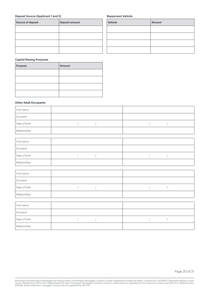## Deposit Source (Applicant 1 and 2)

| Source of deposit | Deposit amount |
|-------------------|----------------|
|                   |                |
|                   |                |
|                   |                |
|                   |                |
|                   |                |

## Repayment Vehicle

| Vehicle | Amount |
|---------|--------|
|         |        |
|         |        |
|         |        |
|         |        |

## Capital Raising Purposes

| Purpose | Amount |
|---------|--------|
|         |        |
|         |        |
|         |        |
|         |        |

## Other Adult Occupants

| First name    |  |
|---------------|--|
| Surname       |  |
| Date of birth |  |
| Relationship  |  |

| First name    |  |
|---------------|--|
| Surname       |  |
| Date of birth |  |
| Relationship  |  |

| First name    |  |
|---------------|--|
| Surname       |  |
| Date of birth |  |
| Relationship  |  |

| First name    |  |
|---------------|--|
| Surname       |  |
| Date of birth |  |
| Relationship  |  |